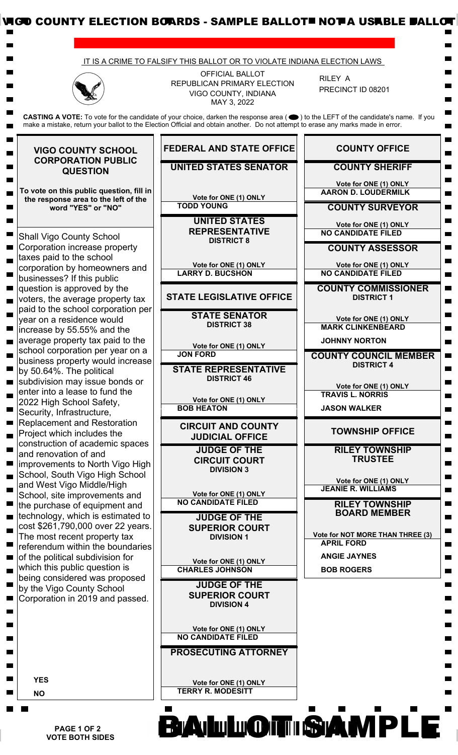

 **PAGE 1 OF 2 VOTE BOTH SIDES**